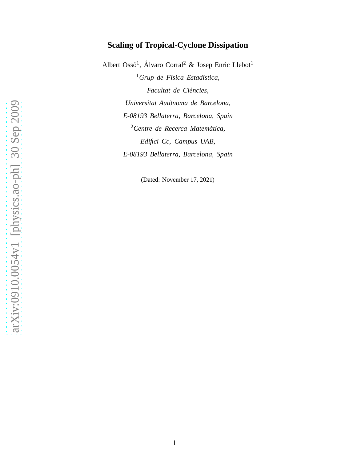# **Scaling of Tropical-Cyclone Dissipation**

Albert Ossó<sup>1</sup>, Álvaro Corral<sup>2</sup> & Josep Enric Llebot<sup>1</sup> <sup>1</sup>Grup de Física Estadística, *Facultat de Ciencies, ` Universitat Autonoma de Barcelona, ` E-08193 Bellaterra, Barcelona, Spain* <sup>2</sup>*Centre de Recerca Matematica, ` Edifici Cc, Campus UAB, E-08193 Bellaterra, Barcelona, Spain*

(Dated: November 17, 2021)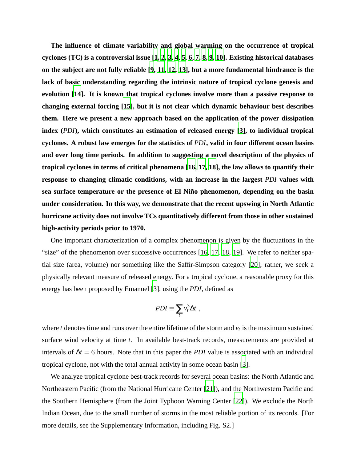**The influence of climate variability and global warming on the occurrence of tropical cyclones (TC) is a controversial issue [\[1,](#page-5-0) [2](#page-5-1), [3](#page-5-2), [4](#page-5-3), [5,](#page-5-4) [6,](#page-5-5) [7](#page-5-6), [8](#page-5-7), [9,](#page-5-8) [10\]](#page-5-9). Existing historical databases on the subject are not fully reliable [\[9](#page-5-8), [11](#page-5-10), [12](#page-5-11), [13\]](#page-5-12), but a more fundamental hindrance is the lack of basic understanding regarding the intrinsic nature of tropical cyclone genesis and evolution [\[14\]](#page-5-13). It is known that tropical cyclones involve more than a passive response to changing external forcing [\[15\]](#page-5-14), but it is not clear which dynamic behaviour best describes them. Here we present a new approach based on the application of the power dissipation index (***PDI***), which constitutes an estimation of released energy [\[3\]](#page-5-2), to individual tropical cyclones. A robust law emerges for the statistics of** *PDI***, valid in four different ocean basins and over long time periods. In addition to suggesting a novel description of the physics of tropical cyclones in terms of critical phenomena [\[16,](#page-6-0) [17,](#page-6-1) [18](#page-6-2)], the law allows to quantify their response to changing climatic conditions, with an increase in the largest** *PDI* **values with** sea surface temperature or the presence of El Niño phenomenon, depending on the basin **under consideration. In this way, we demonstrate that the recent upswing in North Atlantic hurricane activity does not involve TCs quantitatively different from those in other sustained high-activity periods prior to 1970.**

One important characterization of a complex phenomenon is given by the fluctuations in the "size" of the phenomenon over successive occurrences [\[16,](#page-6-0) [17](#page-6-1), [18](#page-6-2), [19\]](#page-6-3). We refer to neither spatial size (area, volume) nor something like the Saffir-Simpson category [\[20](#page-6-4)]; rather, we seek a physically relevant measure of released energy. For a tropical cyclone, a reasonable proxy for this energy has been proposed by Emanuel [\[3](#page-5-2)], using the *PDI*, defined as

$$
PDI \equiv \sum_t v_t^3 \Delta t \;,
$$

where  $t$  denotes time and runs over the entire lifetime of the storm and  $v_t$  is the maximum sustained surface wind velocity at time *t*. In available best-track records, measurements are provided at intervals of  $\Delta t = 6$  hours. Note that in this paper the *PDI* value is associated with an individual tropical cyclone, not with the total annual activity in some ocean basin [\[3\]](#page-5-2).

We analyze tropical cyclone best-track records for several ocean basins: the North Atlantic and Northeastern Pacific (from the National Hurricane Center [\[21\]](#page-6-5)), and the Northwestern Pacific and the Southern Hemisphere (from the Joint Typhoon Warning Center [\[22\]](#page-6-6)). We exclude the North Indian Ocean, due to the small number of storms in the most reliable portion of its records. [For more details, see the Supplementary Information, including Fig. S2.]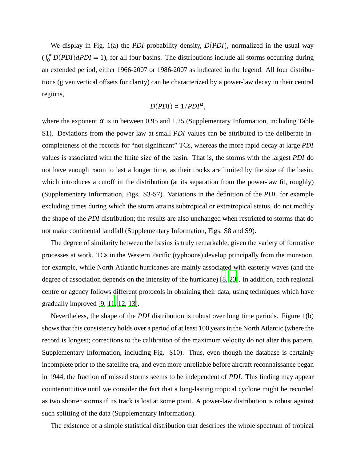We display in Fig. 1(a) the *PDI* probability density, *D*(*PDI*), normalized in the usual way  $(\int_0^\infty D(PDI) dPDI = 1)$ , for all four basins. The distributions include all storms occurring during an extended period, either 1966-2007 or 1986-2007 as indicated in the legend. All four distributions (given vertical offsets for clarity) can be characterized by a power-law decay in their central regions,

$$
D(PDI) \propto 1/PDI^{\alpha},
$$

where the exponent  $\alpha$  is in between 0.95 and 1.25 (Supplementary Information, including Table S1). Deviations from the power law at small *PDI* values can be attributed to the deliberate incompleteness of the records for "not significant" TCs, whereas the more rapid decay at large *PDI* values is associated with the finite size of the basin. That is, the storms with the largest *PDI* do not have enough room to last a longer time, as their tracks are limited by the size of the basin, which introduces a cutoff in the distribution (at its separation from the power-law fit, roughly) (Supplementary Information, Figs. S3-S7). Variations in the definition of the *PDI*, for example excluding times during which the storm attains subtropical or extratropical status, do not modify the shape of the *PDI* distribution; the results are also unchanged when restricted to storms that do not make continental landfall (Supplementary Information, Figs. S8 and S9).

The degree of similarity between the basins is truly remarkable, given the variety of formative processes at work. TCs in the Western Pacific (typhoons) develop principally from the monsoon, for example, while North Atlantic hurricanes are mainly associated with easterly waves (and the degree of association depends on the intensity of the hurricane) [\[8](#page-5-7), [23](#page-6-7)]. In addition, each regional centre or agency follows different protocols in obtaining their data, using techniques which have gradually improved [\[9,](#page-5-8) [11,](#page-5-10) [12](#page-5-11), [13](#page-5-12)].

Nevertheless, the shape of the *PDI* distribution is robust over long time periods. Figure 1(b) shows that this consistency holds over a period of at least 100 years in the North Atlantic (where the record is longest; corrections to the calibration of the maximum velocity do not alter this pattern, Supplementary Information, including Fig. S10). Thus, even though the database is certainly incomplete prior to the satellite era, and even more unreliable before aircraft reconnaissance began in 1944, the fraction of missed storms seems to be independent of *PDI*. This finding may appear counterintuitive until we consider the fact that a long-lasting tropical cyclone might be recorded as two shorter storms if its track is lost at some point. A power-law distribution is robust against such splitting of the data (Supplementary Information).

The existence of a simple statistical distribution that describes the whole spectrum of tropical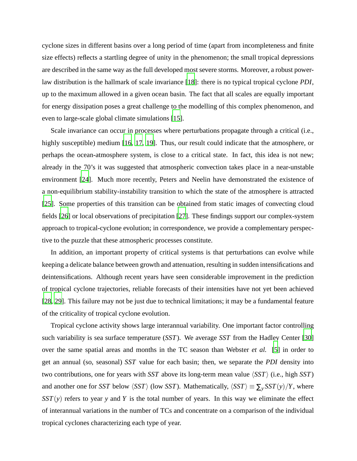cyclone sizes in different basins over a long period of time (apart from incompleteness and finite size effects) reflects a startling degree of unity in the phenomenon; the small tropical depressions are described in the same way as the full developed most severe storms. Moreover, a robust powerlaw distribution is the hallmark of scale invariance [\[18\]](#page-6-2): there is no typical tropical cyclone *PDI*, up to the maximum allowed in a given ocean basin. The fact that all scales are equally important for energy dissipation poses a great challenge to the modelling of this complex phenomenon, and even to large-scale global climate simulations [\[15](#page-5-14)].

Scale invariance can occur in processes where perturbations propagate through a critical (i.e., highly susceptible) medium [\[16](#page-6-0), [17](#page-6-1), [19\]](#page-6-3). Thus, our result could indicate that the atmosphere, or perhaps the ocean-atmosphere system, is close to a critical state. In fact, this idea is not new; already in the 70's it was suggested that atmospheric convection takes place in a near-unstable environment [\[24](#page-6-8)]. Much more recently, Peters and Neelin have demonstrated the existence of a non-equilibrium stability-instability transition to which the state of the atmosphere is attracted [\[25\]](#page-6-9). Some properties of this transition can be obtained from static images of convecting cloud fields [\[26\]](#page-6-10) or local observations of precipitation [\[27](#page-6-11)]. These findings support our complex-system approach to tropical-cyclone evolution; in correspondence, we provide a complementary perspective to the puzzle that these atmospheric processes constitute.

In addition, an important property of critical systems is that perturbations can evolve while keeping a delicate balance between growth and attenuation, resulting in sudden intensifications and deintensifications. Although recent years have seen considerable improvement in the prediction of tropical cyclone trajectories, reliable forecasts of their intensities have not yet been achieved [\[28,](#page-6-12) [29\]](#page-6-13). This failure may not be just due to technical limitations; it may be a fundamental feature of the criticality of tropical cyclone evolution.

Tropical cyclone activity shows large interannual variability. One important factor controlling such variability is sea surface temperature (*SST*). We average *SST* from the Hadley Center [\[30](#page-6-14)] over the same spatial areas and months in the TC season than Webster *et al.* [\[5](#page-5-4)] in order to get an annual (so, seasonal) *SST* value for each basin; then, we separate the *PDI* density into two contributions, one for years with *SST* above its long-term mean value  $\langle SST \rangle$  (i.e., high *SST*) and another one for *SST* below  $\langle SST \rangle$  (low *SST*). Mathematically,  $\langle SST \rangle \equiv \sum_{y} SST(y)/Y$ , where *SST*(*y*) refers to year *y* and *Y* is the total number of years. In this way we eliminate the effect of interannual variations in the number of TCs and concentrate on a comparison of the individual tropical cyclones characterizing each type of year.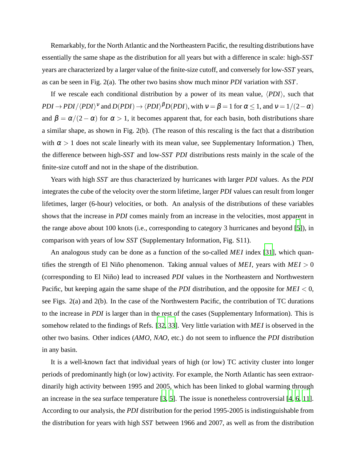Remarkably, for the North Atlantic and the Northeastern Pacific, the resulting distributions have essentially the same shape as the distribution for all years but with a difference in scale: high-*SST* years are characterized by a larger value of the finite-size cutoff, and conversely for low-*SST* years, as can be seen in Fig. 2(a). The other two basins show much minor *PDI* variation with *SST*.

If we rescale each conditional distribution by a power of its mean value,  $\langle PDI \rangle$ , such that  $PDI \to PDI/\langle PDI \rangle^{\nu}$  and  $D(PDI) \to \langle PDI \rangle^{\beta}D(PDI)$ , with  $v = \beta = 1$  for  $\alpha \le 1$ , and  $v = 1/(2-\alpha)$ and  $\beta = \alpha/(2 - \alpha)$  for  $\alpha > 1$ , it becomes apparent that, for each basin, both distributions share a similar shape, as shown in Fig. 2(b). (The reason of this rescaling is the fact that a distribution with  $\alpha > 1$  does not scale linearly with its mean value, see Supplementary Information.) Then, the difference between high-*SST* and low-*SST PDI* distributions rests mainly in the scale of the finite-size cutoff and not in the shape of the distribution.

Years with high *SST* are thus characterized by hurricanes with larger *PDI* values. As the *PDI* integrates the cube of the velocity over the storm lifetime, larger *PDI* values can result from longer lifetimes, larger (6-hour) velocities, or both. An analysis of the distributions of these variables shows that the increase in *PDI* comes mainly from an increase in the velocities, most apparent in the range above about 100 knots (i.e., corresponding to category 3 hurricanes and beyond [\[5\]](#page-5-4)), in comparison with years of low *SST* (Supplementary Information, Fig. S11).

An analogous study can be done as a function of the so-called *MEI* index [\[31](#page-6-15)], which quantifies the strength of El Niño phenomenon. Taking annual values of *MEI*, years with  $MEI > 0$ (corresponding to El Niño) lead to increased *PDI* values in the Northeastern and Northwestern Pacific, but keeping again the same shape of the *PDI* distribution, and the opposite for *MEI* < 0, see Figs. 2(a) and 2(b). In the case of the Northwestern Pacific, the contribution of TC durations to the increase in *PDI* is larger than in the rest of the cases (Supplementary Information). This is somehow related to the findings of Refs. [\[32,](#page-6-16) [33](#page-6-17)]. Very little variation with *MEI* is observed in the other two basins. Other indices (*AMO*, *NAO*, etc.) do not seem to influence the *PDI* distribution in any basin.

It is a well-known fact that individual years of high (or low) TC activity cluster into longer periods of predominantly high (or low) activity. For example, the North Atlantic has seen extraordinarily high activity between 1995 and 2005, which has been linked to global warming through an increase in the sea surface temperature [\[3,](#page-5-2) [5\]](#page-5-4). The issue is nonetheless controversial [\[4](#page-5-3), [6](#page-5-5), [11](#page-5-10)]. According to our analysis, the *PDI* distribution for the period 1995-2005 is indistinguishable from the distribution for years with high *SST* between 1966 and 2007, as well as from the distribution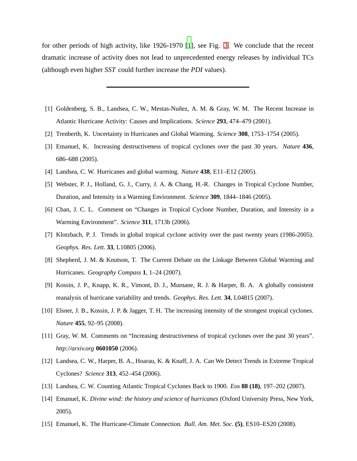for other periods of high activity, like 1926-1970 [\[1\]](#page-5-0), see Fig. [3.](#page-8-0) We conclude that the recent dramatic increase of activity does not lead to unprecedented energy releases by individual TCs (although even higher *SST* could further increase the *PDI* values).

- <span id="page-5-0"></span>[1] Goldenberg, S. B., Landsea, C. W., Mestas-Nuñez, A. M. & Gray, W. M. The Recent Increase in Atlantic Hurricane Activity: Causes and Implications. *Science* **293**, 474–479 (2001).
- <span id="page-5-2"></span><span id="page-5-1"></span>[2] Trenberth, K. Uncertainty in Hurricanes and Global Warming. *Science* **308**, 1753–1754 (2005).
- [3] Emanuel, K. Increasing destructiveness of tropical cyclones over the past 30 years. *Nature* **436**, 686–688 (2005).
- <span id="page-5-4"></span><span id="page-5-3"></span>[4] Landsea, C. W. Hurricanes and global warming. *Nature* **438**, E11–E12 (2005).
- [5] Webster, P. J., Holland, G. J., Curry, J. A. & Chang, H.-R. Changes in Tropical Cyclone Number, Duration, and Intensity in a Warming Environment. *Science* **309**, 1844–1846 (2005).
- <span id="page-5-5"></span>[6] Chan, J. C. L. Comment on "Changes in Tropical Cyclone Number, Duration, and Intensity in a Warming Environment". *Science* **311**, 1713b (2006).
- <span id="page-5-6"></span>[7] Klotzbach, P. J. Trends in global tropical cyclone activity over the past twenty years (1986-2005). *Geophys. Res. Lett.* **33**, L10805 (2006).
- <span id="page-5-7"></span>[8] Shepherd, J. M. & Knutson, T. The Current Debate on the Linkage Between Global Warming and Hurricanes. *Geography Compass* **1**, 1–24 (2007).
- <span id="page-5-8"></span>[9] Kossin, J. P., Knapp, K. R., Vimont, D. J., Murnane, R. J. & Harper, B. A. A globally consistent reanalysis of hurricane variability and trends. *Geophys. Res. Lett.* **34**, L04815 (2007).
- <span id="page-5-9"></span>[10] Elsner, J. B., Kossin, J. P. & Jagger, T. H. The increasing intensity of the strongest tropical cyclones. *Nature* **455**, 92–95 (2008).
- <span id="page-5-10"></span>[11] Gray, W. M. Comments on "Increasing destructiveness of tropical cyclones over the past 30 years". *http://arxiv.org* **0601050** (2006).
- <span id="page-5-11"></span>[12] Landsea, C. W., Harper, B. A., Hoarau, K. & Knaff, J. A. Can We Detect Trends in Extreme Tropical Cyclones? *Science* **313**, 452–454 (2006).
- <span id="page-5-12"></span>[13] Landsea, C. W. Counting Atlantic Tropical Cyclones Back to 1900. *Eos* **88 (18)**, 197–202 (2007).
- <span id="page-5-13"></span>[14] Emanuel, K. *Divine wind: the history and science of hurricanes* (Oxford University Press, New York, 2005).
- <span id="page-5-14"></span>[15] Emanuel, K. The Hurricane-Climate Connection. *Bull. Am. Met. Soc.* **(5)**, ES10–ES20 (2008).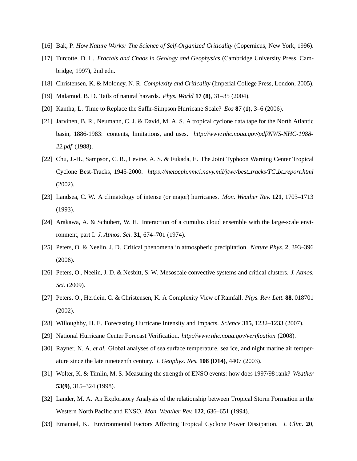- <span id="page-6-1"></span><span id="page-6-0"></span>[16] Bak, P. *How Nature Works: The Science of Self-Organized Criticality* (Copernicus, New York, 1996).
- [17] Turcotte, D. L. *Fractals and Chaos in Geology and Geophysics* (Cambridge University Press, Cambridge, 1997), 2nd edn.
- <span id="page-6-3"></span><span id="page-6-2"></span>[18] Christensen, K. & Moloney, N. R. *Complexity and Criticality* (Imperial College Press, London, 2005).
- <span id="page-6-4"></span>[19] Malamud, B. D. Tails of natural hazards. *Phys. World* **17 (8)**, 31–35 (2004).
- <span id="page-6-5"></span>[20] Kantha, L. Time to Replace the Saffir-Simpson Hurricane Scale? *Eos* **87 (1)**, 3–6 (2006).
- [21] Jarvinen, B. R., Neumann, C. J. & David, M. A. S. A tropical cyclone data tape for the North Atlantic basin, 1886-1983: contents, limitations, and uses. *http://www.nhc.noaa.gov/pdf/NWS-NHC-1988- 22.pdf* (1988).
- <span id="page-6-6"></span>[22] Chu, J.-H., Sampson, C. R., Levine, A. S. & Fukada, E. The Joint Typhoon Warning Center Tropical Cyclone Best-Tracks, 1945-2000. *https://metocph.nmci.navy.mil/jtwc/best tracks/TC bt report.html* (2002).
- <span id="page-6-7"></span>[23] Landsea, C. W. A climatology of intense (or major) hurricanes. *Mon. Weather Rev.* **121**, 1703–1713 (1993).
- <span id="page-6-8"></span>[24] Arakawa, A. & Schubert, W. H. Interaction of a cumulus cloud ensemble with the large-scale environment, part I. *J. Atmos. Sci.* **31**, 674–701 (1974).
- <span id="page-6-9"></span>[25] Peters, O. & Neelin, J. D. Critical phenomena in atmospheric precipitation. *Nature Phys.* **2**, 393–396 (2006).
- <span id="page-6-10"></span>[26] Peters, O., Neelin, J. D. & Nesbitt, S. W. Mesoscale convective systems and critical clusters. *J. Atmos. Sci.* (2009).
- <span id="page-6-11"></span>[27] Peters, O., Hertlein, C. & Christensen, K. A Complexity View of Rainfall. *Phys. Rev. Lett.* **88**, 018701 (2002).
- <span id="page-6-12"></span>[28] Willoughby, H. E. Forecasting Hurricane Intensity and Impacts. *Science* **315**, 1232–1233 (2007).
- <span id="page-6-13"></span>[29] National Hurricane Center Forecast Verification. *http://www.nhc.noaa.gov/verification* (2008).
- <span id="page-6-14"></span>[30] Rayner, N. A. *et al.* Global analyses of sea surface temperature, sea ice, and night marine air temperature since the late nineteenth century. *J. Geophys. Res.* **108 (D14)**, 4407 (2003).
- <span id="page-6-15"></span>[31] Wolter, K. & Timlin, M. S. Measuring the strength of ENSO events: how does 1997/98 rank? *Weather* **53(9)**, 315–324 (1998).
- <span id="page-6-16"></span>[32] Lander, M. A. An Exploratory Analysis of the relationship between Tropical Storm Formation in the Western North Pacific and ENSO. *Mon. Weather Rev.* **122**, 636–651 (1994).
- <span id="page-6-17"></span>[33] Emanuel, K. Environmental Factors Affecting Tropical Cyclone Power Dissipation. *J. Clim.* **20**,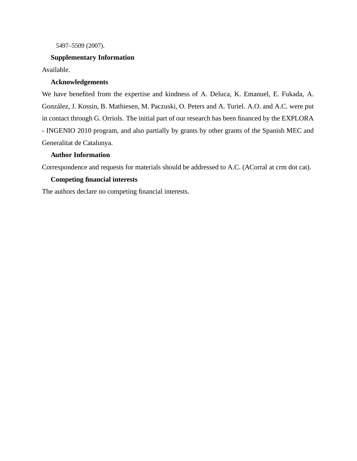5497–5509 (2007).

## **Supplementary Information**

Available.

#### **Acknowledgements**

We have benefited from the expertise and kindness of A. Deluca, K. Emanuel, E. Fukada, A. González, J. Kossin, B. Mathiesen, M. Paczuski, O. Peters and A. Turiel. A.O. and A.C. were put in contact through G. Orriols. The initial part of our research has been financed by the EXPLORA - INGENIO 2010 program, and also partially by grants by other grants of the Spanish MEC and Generalitat de Catalunya.

## **Author Information**

Correspondence and requests for materials should be addressed to A.C. (ACorral at crm dot cat).

### **Competing financial interests**

The authors declare no competing financial interests.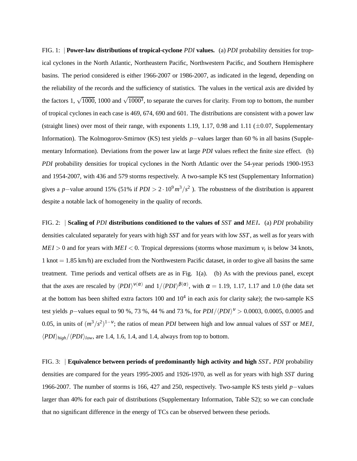FIG. 1: | **Power-law distributions of tropical-cyclone** *PDI* **values.** (a) *PDI* probability densities for tropical cyclones in the North Atlantic, Northeastern Pacific, Northwestern Pacific, and Southern Hemisphere basins. The period considered is either 1966-2007 or 1986-2007, as indicated in the legend, depending on the reliability of the records and the sufficiency of statistics. The values in the vertical axis are divided by the factors 1,  $\sqrt{1000}$ , 1000 and  $\sqrt{1000^3}$ , to separate the curves for clarity. From top to bottom, the number of tropical cyclones in each case is 469, 674, 690 and 601. The distributions are consistent with a power law (straight lines) over most of their range, with exponents 1.19, 1.17, 0.98 and 1.11 ( $\pm$ 0.07, Supplementary Information). The Kolmogorov-Smirnov (KS) test yields *p*−values larger than 60 % in all basins (Supplementary Information). Deviations from the power law at large *PDI* values reflect the finite size effect. (b) *PDI* probability densities for tropical cyclones in the North Atlantic over the 54-year periods 1900-1953 and 1954-2007, with 436 and 579 storms respectively. A two-sample KS test (Supplementary Information) gives a *p*−value around 15% (51% if  $PDI > 2 \cdot 10^9 \, m^3/s^2$ ). The robustness of the distribution is apparent despite a notable lack of homogeneity in the quality of records.

FIG. 2: | **Scaling of** *PDI* **distributions conditioned to the values of** *SST* **and** *MEI***.** (a) *PDI* probability densities calculated separately for years with high *SST* and for years with low *SST*, as well as for years with  $MEI > 0$  and for years with  $MEI < 0$ . Tropical depressions (storms whose maximum  $v_t$  is below 34 knots, 1 knot = 1.85 km/h) are excluded from the Northwestern Pacific dataset, in order to give all basins the same treatment. Time periods and vertical offsets are as in Fig. 1(a). (b) As with the previous panel, except that the axes are rescaled by  $\langle PDI \rangle^{v(\alpha)}$  and  $1/\langle PDI \rangle^{\beta(\alpha)}$ , with  $\alpha = 1.19, 1.17, 1.17$  and 1.0 (the data set at the bottom has been shifted extra factors  $100$  and  $10<sup>4</sup>$  in each axis for clarity sake); the two-sample KS test yields *p*−values equal to 90 %, 73 %, 44 % and 73 %, for  $PDI/\langle PDI \rangle^{\nu} > 0.0003$ , 0.0005, 0.0005 and 0.05, in units of  $(m^3/s^2)^{1-\nu}$ ; the ratios of mean *PDI* between high and low annual values of *SST* or *MEI*,  $\langle PDI \rangle_{high} / \langle PDI \rangle_{low}$ , are 1.4, 1.6, 1.4, and 1.4, always from top to bottom.

<span id="page-8-0"></span>FIG. 3: | **Equivalence between periods of predominantly high activity and high** *SST***.** *PDI* probability densities are compared for the years 1995-2005 and 1926-1970, as well as for years with high *SST* during 1966-2007. The number of storms is 166, 427 and 250, respectively. Two-sample KS tests yield *p*−values larger than 40% for each pair of distributions (Supplementary Information, Table S2); so we can conclude that no significant difference in the energy of TCs can be observed between these periods.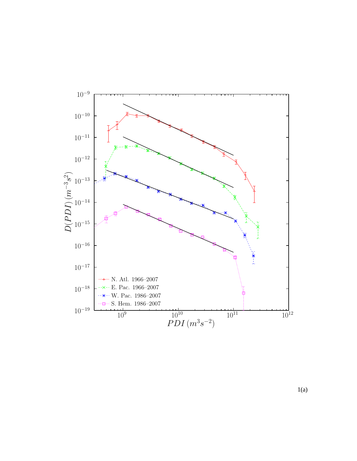

1(a)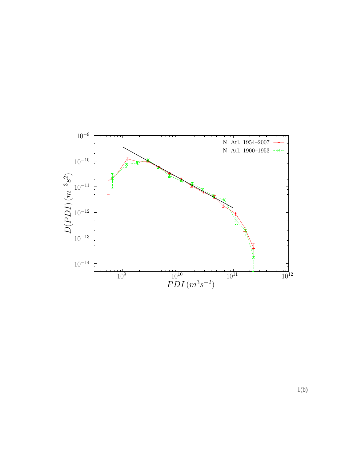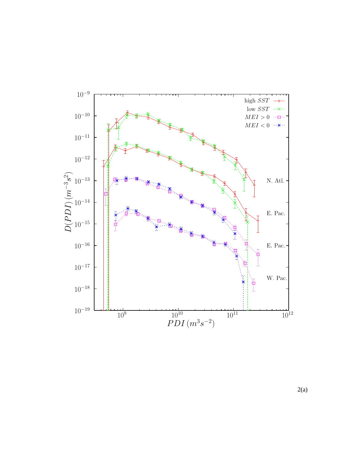

2(a)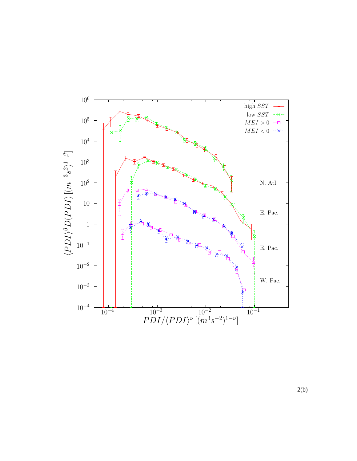

2(b)